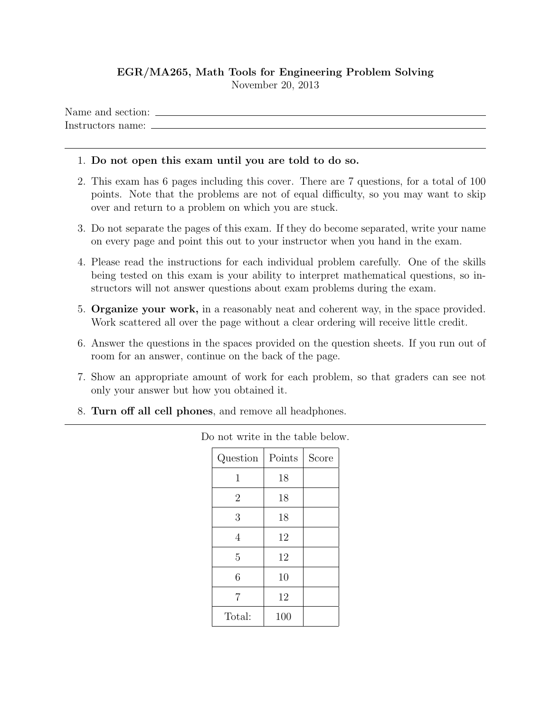## EGR/MA265, Math Tools for Engineering Problem Solving November 20, 2013

Name and section: Instructors name:

## 1. Do not open this exam until you are told to do so.

- 2. This exam has 6 pages including this cover. There are 7 questions, for a total of 100 points. Note that the problems are not of equal difficulty, so you may want to skip over and return to a problem on which you are stuck.
- 3. Do not separate the pages of this exam. If they do become separated, write your name on every page and point this out to your instructor when you hand in the exam.
- 4. Please read the instructions for each individual problem carefully. One of the skills being tested on this exam is your ability to interpret mathematical questions, so instructors will not answer questions about exam problems during the exam.
- 5. Organize your work, in a reasonably neat and coherent way, in the space provided. Work scattered all over the page without a clear ordering will receive little credit.
- 6. Answer the questions in the spaces provided on the question sheets. If you run out of room for an answer, continue on the back of the page.
- 7. Show an appropriate amount of work for each problem, so that graders can see not only your answer but how you obtained it.
- 8. Turn off all cell phones, and remove all headphones.

| Question       | Points | Score |
|----------------|--------|-------|
| 1              | 18     |       |
| $\overline{2}$ | 18     |       |
| 3              | 18     |       |
| $\overline{4}$ | 12     |       |
| 5              | 12     |       |
| 6              | 10     |       |
| 7              | 12     |       |
| Total:         | 100    |       |

Do not write in the table below.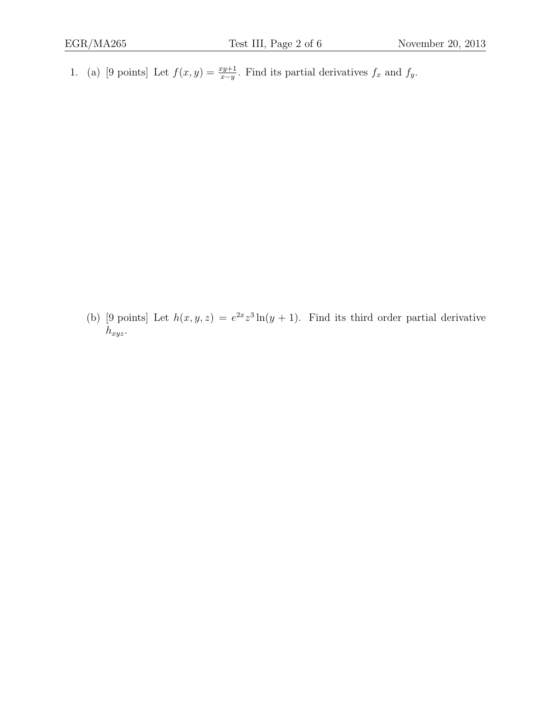1. (a) [9 points] Let  $f(x,y) = \frac{xy+1}{x-y}$ . Find its partial derivatives  $f_x$  and  $f_y$ .

(b) [9 points] Let  $h(x, y, z) = e^{2x}z^3 \ln(y + 1)$ . Find its third order partial derivative  $h_{xyz}$ .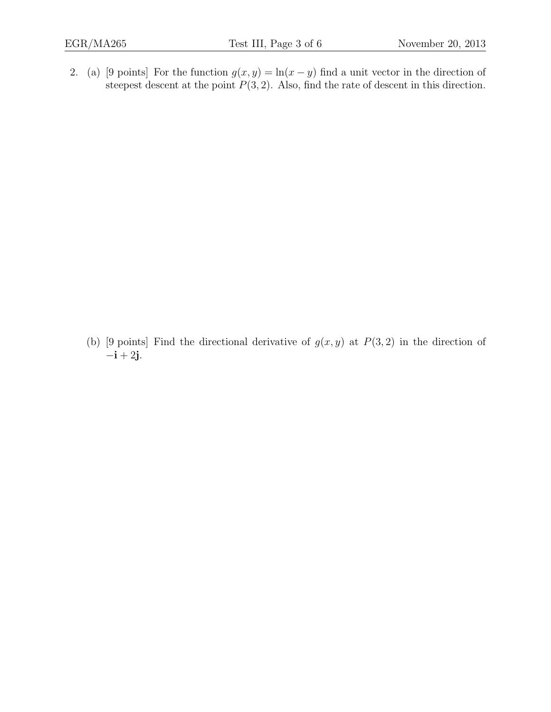2. (a) [9 points] For the function  $g(x, y) = \ln(x - y)$  find a unit vector in the direction of steepest descent at the point  $P(3, 2)$ . Also, find the rate of descent in this direction.

(b) [9 points] Find the directional derivative of  $g(x, y)$  at  $P(3, 2)$  in the direction of  $-{\bf i} + 2{\bf j}$ .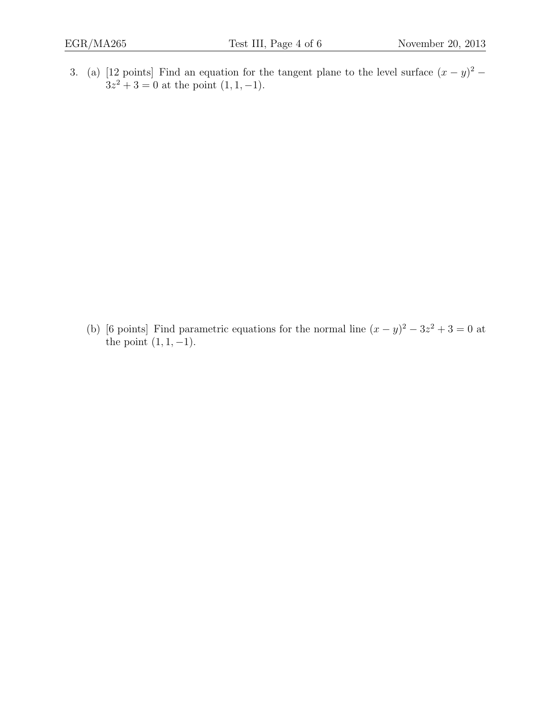3. (a) [12 points] Find an equation for the tangent plane to the level surface  $(x - y)^2$  –  $3z^2 + 3 = 0$  at the point  $(1, 1, -1)$ .

(b) [6 points] Find parametric equations for the normal line  $(x - y)^2 - 3z^2 + 3 = 0$  at the point  $(1, 1, -1)$ .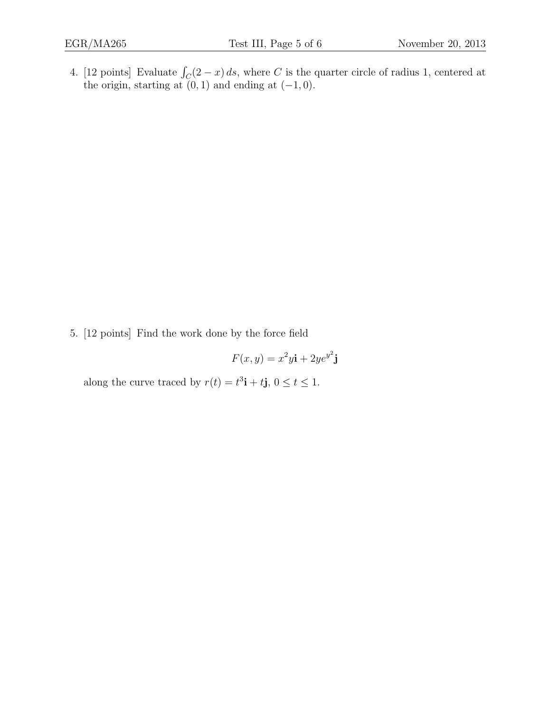4. [12 points] Evaluate  $\int_C (2-x) ds$ , where C is the quarter circle of radius 1, centered at the origin, starting at  $(0, 1)$  and ending at  $(-1, 0)$ .

5. [12 points] Find the work done by the force field

$$
F(x, y) = x^2 y \mathbf{i} + 2ye^{y^2} \mathbf{j}
$$

along the curve traced by  $r(t) = t^3 \mathbf{i} + t \mathbf{j}$ ,  $0 \le t \le 1$ .